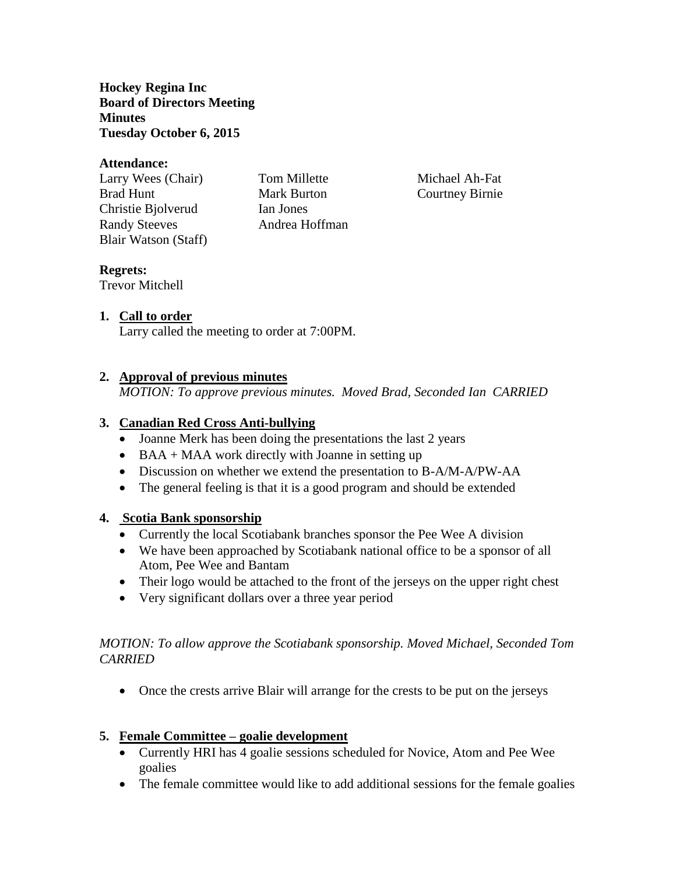**Hockey Regina Inc Board of Directors Meeting Minutes Tuesday October 6, 2015**

#### **Attendance:**

Larry Wees (Chair) Tom Millette Michael Ah-Fat Brad Hunt Mark Burton Courtney Birnie Christie Bjolverud Ian Jones Randy Steeves Andrea Hoffman Blair Watson (Staff)

# **Regrets:**

Trevor Mitchell

# **1. Call to order**

Larry called the meeting to order at 7:00PM.

## **2. Approval of previous minutes**

*MOTION: To approve previous minutes. Moved Brad, Seconded Ian CARRIED*

## **3. Canadian Red Cross Anti-bullying**

- Joanne Merk has been doing the presentations the last 2 years
- $\bullet$  BAA + MAA work directly with Joanne in setting up
- Discussion on whether we extend the presentation to B-A/M-A/PW-AA
- The general feeling is that it is a good program and should be extended

### **4. Scotia Bank sponsorship**

- Currently the local Scotiabank branches sponsor the Pee Wee A division
- We have been approached by Scotiabank national office to be a sponsor of all Atom, Pee Wee and Bantam
- Their logo would be attached to the front of the jerseys on the upper right chest
- Very significant dollars over a three year period

## *MOTION: To allow approve the Scotiabank sponsorship. Moved Michael, Seconded Tom CARRIED*

• Once the crests arrive Blair will arrange for the crests to be put on the jerseys

# **5. Female Committee – goalie development**

- Currently HRI has 4 goalie sessions scheduled for Novice, Atom and Pee Wee goalies
- The female committee would like to add additional sessions for the female goalies